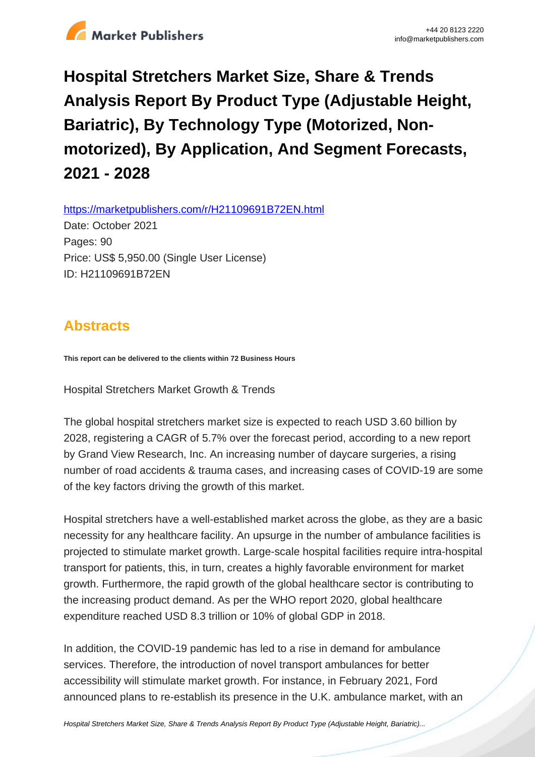

# **Hospital Stretchers Market Size, Share & Trends Analysis Report By Product Type (Adjustable Height, Bariatric), By Technology Type (Motorized, Nonmotorized), By Application, And Segment Forecasts, 2021 - 2028**

https://marketpublishers.com/r/H21109691B72EN.html

Date: October 2021 Pages: 90 Price: US\$ 5,950.00 (Single User License) ID: H21109691B72EN

# **Abstracts**

**This report can be delivered to the clients within 72 Business Hours**

Hospital Stretchers Market Growth & Trends

The global hospital stretchers market size is expected to reach USD 3.60 billion by 2028, registering a CAGR of 5.7% over the forecast period, according to a new report by Grand View Research, Inc. An increasing number of daycare surgeries, a rising number of road accidents & trauma cases, and increasing cases of COVID-19 are some of the key factors driving the growth of this market.

Hospital stretchers have a well-established market across the globe, as they are a basic necessity for any healthcare facility. An upsurge in the number of ambulance facilities is projected to stimulate market growth. Large-scale hospital facilities require intra-hospital transport for patients, this, in turn, creates a highly favorable environment for market growth. Furthermore, the rapid growth of the global healthcare sector is contributing to the increasing product demand. As per the WHO report 2020, global healthcare expenditure reached USD 8.3 trillion or 10% of global GDP in 2018.

In addition, the COVID-19 pandemic has led to a rise in demand for ambulance services. Therefore, the introduction of novel transport ambulances for better accessibility will stimulate market growth. For instance, in February 2021, Ford announced plans to re-establish its presence in the U.K. ambulance market, with an

[Hospital Stretchers Market Size, Share & Trends Analysis Report By Product Type \(Adjustable Height, Bariatric\)...](https://marketpublishers.com/report/healthcare/hospital/hospital-stretchers-market-size-share-trends-analysis-report-by-product-type-by-technology-type-by-application-n-segment-forecasts-2021-2028.html)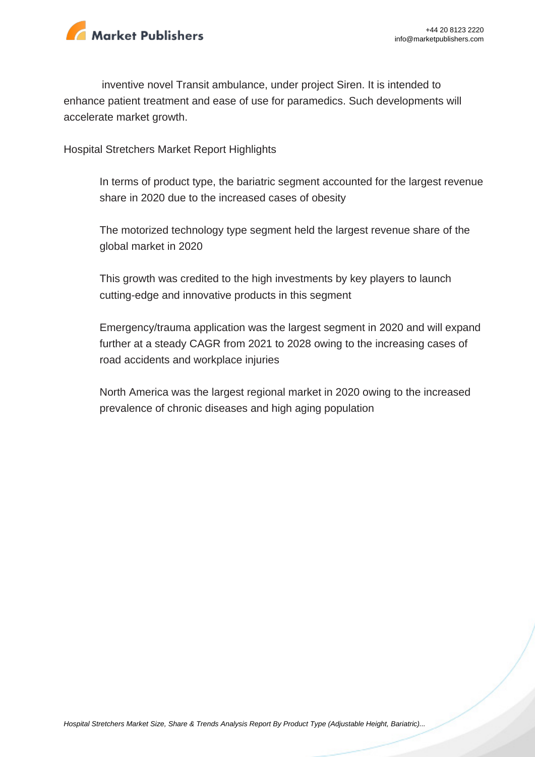

inventive novel Transit ambulance, under project Siren. It is intended to enhance patient treatment and ease of use for paramedics. Such developments will accelerate market growth.

Hospital Stretchers Market Report Highlights

In terms of product type, the bariatric segment accounted for the largest revenue share in 2020 due to the increased cases of obesity

The motorized technology type segment held the largest revenue share of the global market in 2020

This growth was credited to the high investments by key players to launch cutting-edge and innovative products in this segment

Emergency/trauma application was the largest segment in 2020 and will expand further at a steady CAGR from 2021 to 2028 owing to the increasing cases of road accidents and workplace injuries

North America was the largest regional market in 2020 owing to the increased prevalence of chronic diseases and high aging population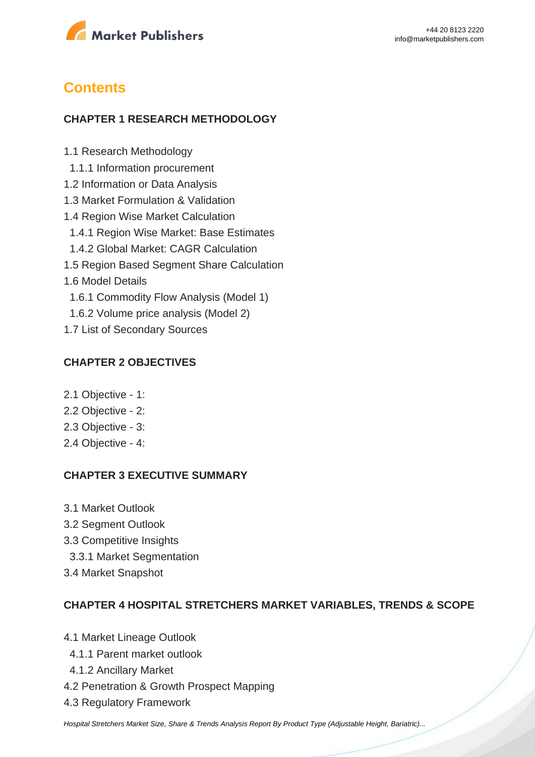

# **Contents**

### **CHAPTER 1 RESEARCH METHODOLOGY**

- 1.1 Research Methodology
- 1.1.1 Information procurement
- 1.2 Information or Data Analysis
- 1.3 Market Formulation & Validation
- 1.4 Region Wise Market Calculation
- 1.4.1 Region Wise Market: Base Estimates
- 1.4.2 Global Market: CAGR Calculation
- 1.5 Region Based Segment Share Calculation
- 1.6 Model Details
	- 1.6.1 Commodity Flow Analysis (Model 1)
- 1.6.2 Volume price analysis (Model 2)
- 1.7 List of Secondary Sources

#### **CHAPTER 2 OBJECTIVES**

- 2.1 Objective 1:
- 2.2 Objective 2:
- 2.3 Objective 3:
- 2.4 Objective 4:

#### **CHAPTER 3 EXECUTIVE SUMMARY**

- 3.1 Market Outlook
- 3.2 Segment Outlook
- 3.3 Competitive Insights
- 3.3.1 Market Segmentation
- 3.4 Market Snapshot

#### **CHAPTER 4 HOSPITAL STRETCHERS MARKET VARIABLES, TRENDS & SCOPE**

- 4.1 Market Lineage Outlook
	- 4.1.1 Parent market outlook
	- 4.1.2 Ancillary Market
- 4.2 Penetration & Growth Prospect Mapping
- 4.3 Regulatory Framework

[Hospital Stretchers Market Size, Share & Trends Analysis Report By Product Type \(Adjustable Height, Bariatric\)...](https://marketpublishers.com/report/healthcare/hospital/hospital-stretchers-market-size-share-trends-analysis-report-by-product-type-by-technology-type-by-application-n-segment-forecasts-2021-2028.html)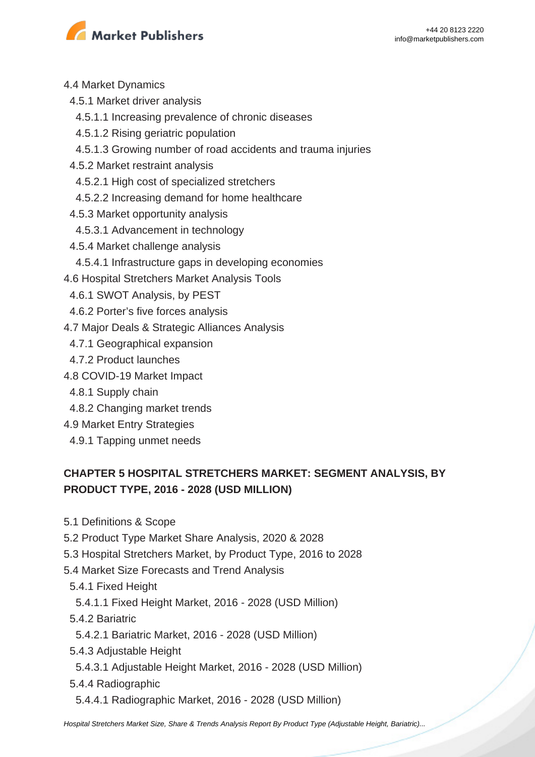

- 4.4 Market Dynamics
- 4.5.1 Market driver analysis
	- 4.5.1.1 Increasing prevalence of chronic diseases
	- 4.5.1.2 Rising geriatric population
	- 4.5.1.3 Growing number of road accidents and trauma injuries
- 4.5.2 Market restraint analysis
	- 4.5.2.1 High cost of specialized stretchers
	- 4.5.2.2 Increasing demand for home healthcare
- 4.5.3 Market opportunity analysis
- 4.5.3.1 Advancement in technology
- 4.5.4 Market challenge analysis
- 4.5.4.1 Infrastructure gaps in developing economies
- 4.6 Hospital Stretchers Market Analysis Tools
- 4.6.1 SWOT Analysis, by PEST
- 4.6.2 Porter's five forces analysis
- 4.7 Major Deals & Strategic Alliances Analysis
- 4.7.1 Geographical expansion
- 4.7.2 Product launches
- 4.8 COVID-19 Market Impact
	- 4.8.1 Supply chain
- 4.8.2 Changing market trends
- 4.9 Market Entry Strategies
- 4.9.1 Tapping unmet needs

# **CHAPTER 5 HOSPITAL STRETCHERS MARKET: SEGMENT ANALYSIS, BY PRODUCT TYPE, 2016 - 2028 (USD MILLION)**

- 5.1 Definitions & Scope
- 5.2 Product Type Market Share Analysis, 2020 & 2028
- 5.3 Hospital Stretchers Market, by Product Type, 2016 to 2028
- 5.4 Market Size Forecasts and Trend Analysis
	- 5.4.1 Fixed Height
	- 5.4.1.1 Fixed Height Market, 2016 2028 (USD Million)
	- 5.4.2 Bariatric
	- 5.4.2.1 Bariatric Market, 2016 2028 (USD Million)
	- 5.4.3 Adjustable Height
	- 5.4.3.1 Adjustable Height Market, 2016 2028 (USD Million)
	- 5.4.4 Radiographic
	- 5.4.4.1 Radiographic Market, 2016 2028 (USD Million)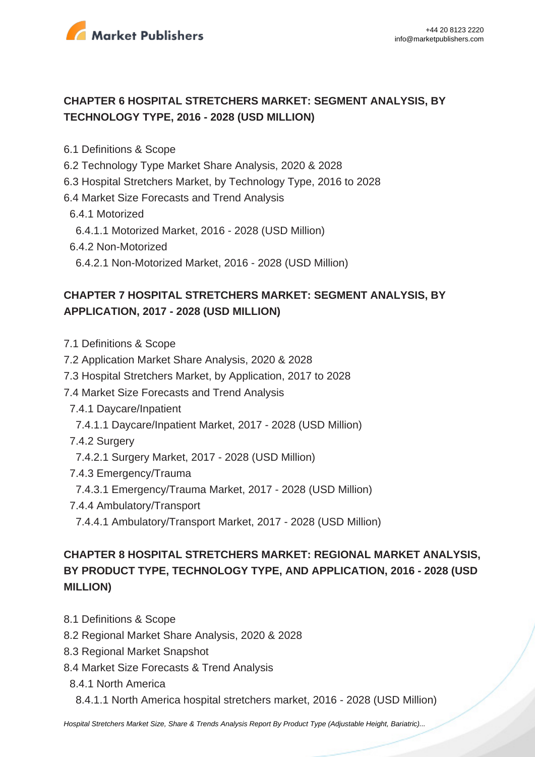

# **CHAPTER 6 HOSPITAL STRETCHERS MARKET: SEGMENT ANALYSIS, BY TECHNOLOGY TYPE, 2016 - 2028 (USD MILLION)**

- 6.1 Definitions & Scope
- 6.2 Technology Type Market Share Analysis, 2020 & 2028
- 6.3 Hospital Stretchers Market, by Technology Type, 2016 to 2028
- 6.4 Market Size Forecasts and Trend Analysis
	- 6.4.1 Motorized
	- 6.4.1.1 Motorized Market, 2016 2028 (USD Million)
- 6.4.2 Non-Motorized
	- 6.4.2.1 Non-Motorized Market, 2016 2028 (USD Million)

# **CHAPTER 7 HOSPITAL STRETCHERS MARKET: SEGMENT ANALYSIS, BY APPLICATION, 2017 - 2028 (USD MILLION)**

- 7.1 Definitions & Scope
- 7.2 Application Market Share Analysis, 2020 & 2028
- 7.3 Hospital Stretchers Market, by Application, 2017 to 2028
- 7.4 Market Size Forecasts and Trend Analysis
	- 7.4.1 Daycare/Inpatient
	- 7.4.1.1 Daycare/Inpatient Market, 2017 2028 (USD Million)
	- 7.4.2 Surgery
	- 7.4.2.1 Surgery Market, 2017 2028 (USD Million)
	- 7.4.3 Emergency/Trauma
	- 7.4.3.1 Emergency/Trauma Market, 2017 2028 (USD Million)
	- 7.4.4 Ambulatory/Transport
	- 7.4.4.1 Ambulatory/Transport Market, 2017 2028 (USD Million)

# **CHAPTER 8 HOSPITAL STRETCHERS MARKET: REGIONAL MARKET ANALYSIS, BY PRODUCT TYPE, TECHNOLOGY TYPE, AND APPLICATION, 2016 - 2028 (USD MILLION)**

- 8.1 Definitions & Scope
- 8.2 Regional Market Share Analysis, 2020 & 2028
- 8.3 Regional Market Snapshot
- 8.4 Market Size Forecasts & Trend Analysis
	- 8.4.1 North America
		- 8.4.1.1 North America hospital stretchers market, 2016 2028 (USD Million)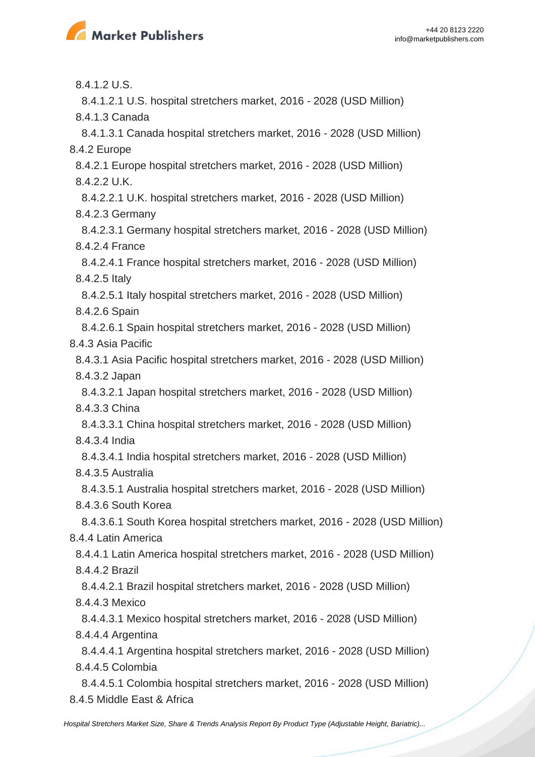

8.4.1.2 U.S.

8.4.1.2.1 U.S. hospital stretchers market, 2016 - 2028 (USD Million)

8.4.1.3 Canada

 8.4.1.3.1 Canada hospital stretchers market, 2016 - 2028 (USD Million) 8.4.2 Europe

 8.4.2.1 Europe hospital stretchers market, 2016 - 2028 (USD Million) 8.4.2.2 U.K.

 8.4.2.2.1 U.K. hospital stretchers market, 2016 - 2028 (USD Million) 8.4.2.3 Germany

 8.4.2.3.1 Germany hospital stretchers market, 2016 - 2028 (USD Million) 8.4.2.4 France

 8.4.2.4.1 France hospital stretchers market, 2016 - 2028 (USD Million) 8.4.2.5 Italy

 8.4.2.5.1 Italy hospital stretchers market, 2016 - 2028 (USD Million) 8.4.2.6 Spain

 8.4.2.6.1 Spain hospital stretchers market, 2016 - 2028 (USD Million) 8.4.3 Asia Pacific

 8.4.3.1 Asia Pacific hospital stretchers market, 2016 - 2028 (USD Million) 8.4.3.2 Japan

 8.4.3.2.1 Japan hospital stretchers market, 2016 - 2028 (USD Million) 8.4.3.3 China

 8.4.3.3.1 China hospital stretchers market, 2016 - 2028 (USD Million) 8.4.3.4 India

 8.4.3.4.1 India hospital stretchers market, 2016 - 2028 (USD Million) 8.4.3.5 Australia

 8.4.3.5.1 Australia hospital stretchers market, 2016 - 2028 (USD Million) 8.4.3.6 South Korea

 8.4.3.6.1 South Korea hospital stretchers market, 2016 - 2028 (USD Million) 8.4.4 Latin America

 8.4.4.1 Latin America hospital stretchers market, 2016 - 2028 (USD Million) 8.4.4.2 Brazil

 8.4.4.2.1 Brazil hospital stretchers market, 2016 - 2028 (USD Million) 8.4.4.3 Mexico

 8.4.4.3.1 Mexico hospital stretchers market, 2016 - 2028 (USD Million) 8.4.4.4 Argentina

 8.4.4.4.1 Argentina hospital stretchers market, 2016 - 2028 (USD Million) 8.4.4.5 Colombia

 8.4.4.5.1 Colombia hospital stretchers market, 2016 - 2028 (USD Million) 8.4.5 Middle East & Africa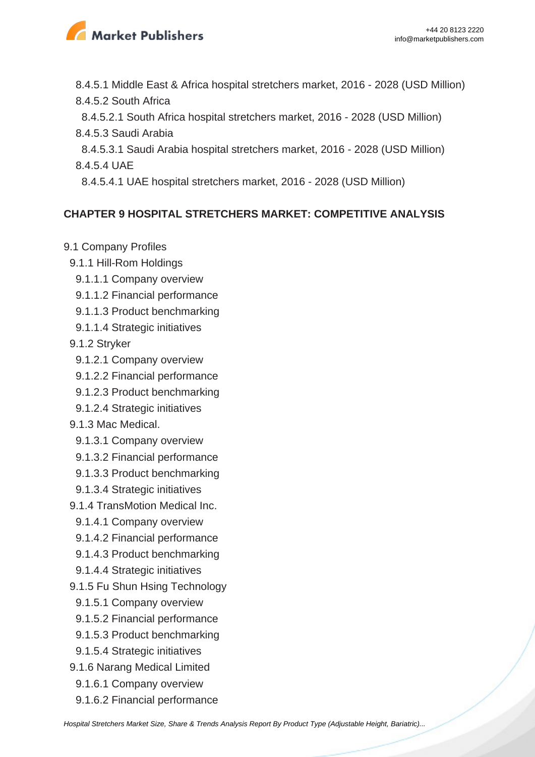

 8.4.5.1 Middle East & Africa hospital stretchers market, 2016 - 2028 (USD Million) 8.4.5.2 South Africa

 8.4.5.2.1 South Africa hospital stretchers market, 2016 - 2028 (USD Million) 8.4.5.3 Saudi Arabia

 8.4.5.3.1 Saudi Arabia hospital stretchers market, 2016 - 2028 (USD Million) 8.4.5.4 UAE

8.4.5.4.1 UAE hospital stretchers market, 2016 - 2028 (USD Million)

### **CHAPTER 9 HOSPITAL STRETCHERS MARKET: COMPETITIVE ANALYSIS**

- 9.1 Company Profiles
	- 9.1.1 Hill-Rom Holdings
		- 9.1.1.1 Company overview
	- 9.1.1.2 Financial performance
	- 9.1.1.3 Product benchmarking
	- 9.1.1.4 Strategic initiatives
	- 9.1.2 Stryker
		- 9.1.2.1 Company overview
	- 9.1.2.2 Financial performance
	- 9.1.2.3 Product benchmarking
	- 9.1.2.4 Strategic initiatives
	- 9.1.3 Mac Medical.
	- 9.1.3.1 Company overview
	- 9.1.3.2 Financial performance
	- 9.1.3.3 Product benchmarking
	- 9.1.3.4 Strategic initiatives
	- 9.1.4 TransMotion Medical Inc.
	- 9.1.4.1 Company overview
	- 9.1.4.2 Financial performance
	- 9.1.4.3 Product benchmarking
	- 9.1.4.4 Strategic initiatives
- 9.1.5 Fu Shun Hsing Technology
	- 9.1.5.1 Company overview
	- 9.1.5.2 Financial performance
	- 9.1.5.3 Product benchmarking
- 9.1.5.4 Strategic initiatives
- 9.1.6 Narang Medical Limited
	- 9.1.6.1 Company overview
- 9.1.6.2 Financial performance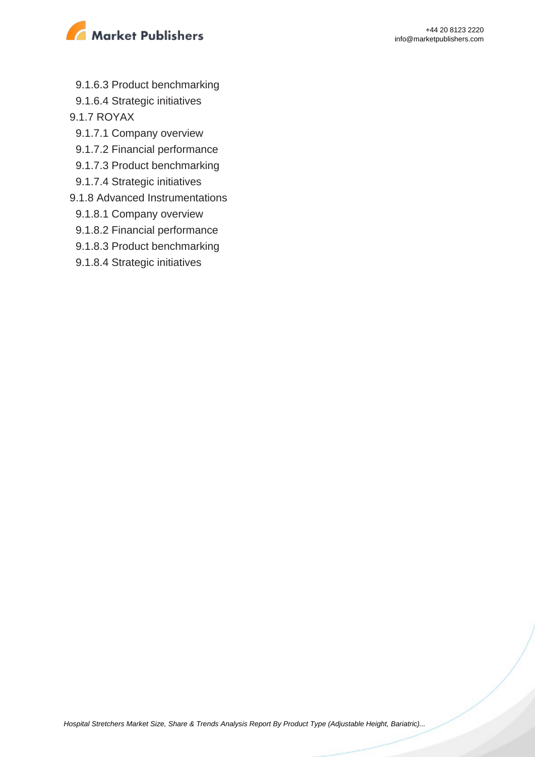

9.1.6.3 Product benchmarking

9.1.6.4 Strategic initiatives

9.1.7 ROYAX

- 9.1.7.1 Company overview
- 9.1.7.2 Financial performance
- 9.1.7.3 Product benchmarking
- 9.1.7.4 Strategic initiatives
- 9.1.8 Advanced Instrumentations
	- 9.1.8.1 Company overview
	- 9.1.8.2 Financial performance
	- 9.1.8.3 Product benchmarking
	- 9.1.8.4 Strategic initiatives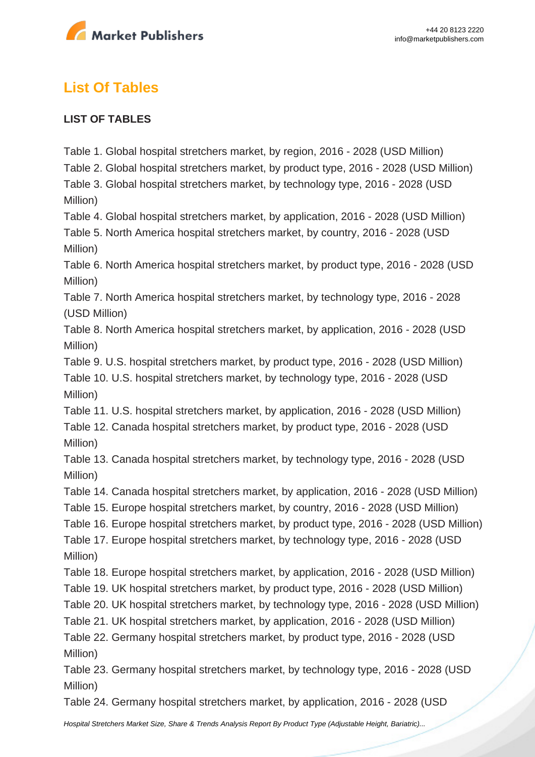

# **List Of Tables**

### **LIST OF TABLES**

Table 1. Global hospital stretchers market, by region, 2016 - 2028 (USD Million)

Table 2. Global hospital stretchers market, by product type, 2016 - 2028 (USD Million)

Table 3. Global hospital stretchers market, by technology type, 2016 - 2028 (USD Million)

Table 4. Global hospital stretchers market, by application, 2016 - 2028 (USD Million)

Table 5. North America hospital stretchers market, by country, 2016 - 2028 (USD Million)

Table 6. North America hospital stretchers market, by product type, 2016 - 2028 (USD Million)

Table 7. North America hospital stretchers market, by technology type, 2016 - 2028 (USD Million)

Table 8. North America hospital stretchers market, by application, 2016 - 2028 (USD Million)

Table 9. U.S. hospital stretchers market, by product type, 2016 - 2028 (USD Million)

Table 10. U.S. hospital stretchers market, by technology type, 2016 - 2028 (USD Million)

Table 11. U.S. hospital stretchers market, by application, 2016 - 2028 (USD Million)

Table 12. Canada hospital stretchers market, by product type, 2016 - 2028 (USD Million)

Table 13. Canada hospital stretchers market, by technology type, 2016 - 2028 (USD Million)

- Table 14. Canada hospital stretchers market, by application, 2016 2028 (USD Million)
- Table 15. Europe hospital stretchers market, by country, 2016 2028 (USD Million)

Table 16. Europe hospital stretchers market, by product type, 2016 - 2028 (USD Million)

Table 17. Europe hospital stretchers market, by technology type, 2016 - 2028 (USD Million)

Table 18. Europe hospital stretchers market, by application, 2016 - 2028 (USD Million)

Table 19. UK hospital stretchers market, by product type, 2016 - 2028 (USD Million)

Table 20. UK hospital stretchers market, by technology type, 2016 - 2028 (USD Million)

Table 21. UK hospital stretchers market, by application, 2016 - 2028 (USD Million)

Table 22. Germany hospital stretchers market, by product type, 2016 - 2028 (USD Million)

Table 23. Germany hospital stretchers market, by technology type, 2016 - 2028 (USD Million)

Table 24. Germany hospital stretchers market, by application, 2016 - 2028 (USD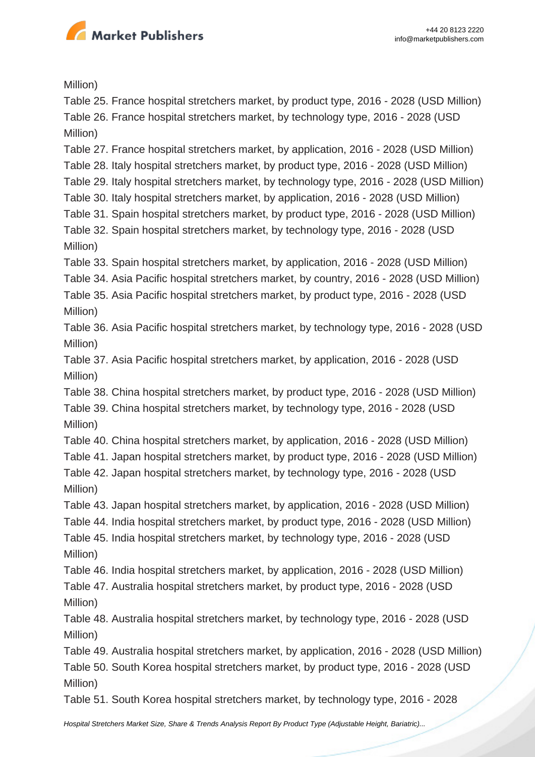

Million)

Table 25. France hospital stretchers market, by product type, 2016 - 2028 (USD Million) Table 26. France hospital stretchers market, by technology type, 2016 - 2028 (USD Million)

Table 27. France hospital stretchers market, by application, 2016 - 2028 (USD Million)

Table 28. Italy hospital stretchers market, by product type, 2016 - 2028 (USD Million)

Table 29. Italy hospital stretchers market, by technology type, 2016 - 2028 (USD Million)

- Table 30. Italy hospital stretchers market, by application, 2016 2028 (USD Million)
- Table 31. Spain hospital stretchers market, by product type, 2016 2028 (USD Million)
- Table 32. Spain hospital stretchers market, by technology type, 2016 2028 (USD Million)

Table 33. Spain hospital stretchers market, by application, 2016 - 2028 (USD Million)

Table 34. Asia Pacific hospital stretchers market, by country, 2016 - 2028 (USD Million)

Table 35. Asia Pacific hospital stretchers market, by product type, 2016 - 2028 (USD Million)

Table 36. Asia Pacific hospital stretchers market, by technology type, 2016 - 2028 (USD Million)

Table 37. Asia Pacific hospital stretchers market, by application, 2016 - 2028 (USD Million)

Table 38. China hospital stretchers market, by product type, 2016 - 2028 (USD Million)

Table 39. China hospital stretchers market, by technology type, 2016 - 2028 (USD Million)

Table 40. China hospital stretchers market, by application, 2016 - 2028 (USD Million)

Table 41. Japan hospital stretchers market, by product type, 2016 - 2028 (USD Million)

Table 42. Japan hospital stretchers market, by technology type, 2016 - 2028 (USD Million)

Table 43. Japan hospital stretchers market, by application, 2016 - 2028 (USD Million)

Table 44. India hospital stretchers market, by product type, 2016 - 2028 (USD Million)

Table 45. India hospital stretchers market, by technology type, 2016 - 2028 (USD Million)

Table 46. India hospital stretchers market, by application, 2016 - 2028 (USD Million)

Table 47. Australia hospital stretchers market, by product type, 2016 - 2028 (USD Million)

Table 48. Australia hospital stretchers market, by technology type, 2016 - 2028 (USD Million)

Table 49. Australia hospital stretchers market, by application, 2016 - 2028 (USD Million) Table 50. South Korea hospital stretchers market, by product type, 2016 - 2028 (USD Million)

Table 51. South Korea hospital stretchers market, by technology type, 2016 - 2028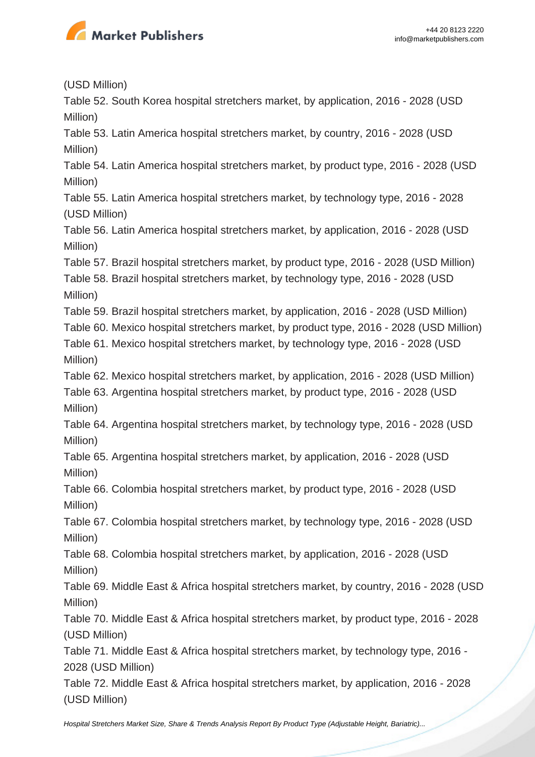

(USD Million)

Table 52. South Korea hospital stretchers market, by application, 2016 - 2028 (USD Million)

Table 53. Latin America hospital stretchers market, by country, 2016 - 2028 (USD Million)

Table 54. Latin America hospital stretchers market, by product type, 2016 - 2028 (USD Million)

Table 55. Latin America hospital stretchers market, by technology type, 2016 - 2028 (USD Million)

Table 56. Latin America hospital stretchers market, by application, 2016 - 2028 (USD Million)

Table 57. Brazil hospital stretchers market, by product type, 2016 - 2028 (USD Million)

Table 58. Brazil hospital stretchers market, by technology type, 2016 - 2028 (USD Million)

Table 59. Brazil hospital stretchers market, by application, 2016 - 2028 (USD Million)

Table 60. Mexico hospital stretchers market, by product type, 2016 - 2028 (USD Million)

Table 61. Mexico hospital stretchers market, by technology type, 2016 - 2028 (USD Million)

Table 62. Mexico hospital stretchers market, by application, 2016 - 2028 (USD Million)

Table 63. Argentina hospital stretchers market, by product type, 2016 - 2028 (USD Million)

Table 64. Argentina hospital stretchers market, by technology type, 2016 - 2028 (USD Million)

Table 65. Argentina hospital stretchers market, by application, 2016 - 2028 (USD Million)

Table 66. Colombia hospital stretchers market, by product type, 2016 - 2028 (USD Million)

Table 67. Colombia hospital stretchers market, by technology type, 2016 - 2028 (USD Million)

Table 68. Colombia hospital stretchers market, by application, 2016 - 2028 (USD Million)

Table 69. Middle East & Africa hospital stretchers market, by country, 2016 - 2028 (USD Million)

Table 70. Middle East & Africa hospital stretchers market, by product type, 2016 - 2028 (USD Million)

Table 71. Middle East & Africa hospital stretchers market, by technology type, 2016 - 2028 (USD Million)

Table 72. Middle East & Africa hospital stretchers market, by application, 2016 - 2028 (USD Million)

[Hospital Stretchers Market Size, Share & Trends Analysis Report By Product Type \(Adjustable Height, Bariatric\)...](https://marketpublishers.com/report/healthcare/hospital/hospital-stretchers-market-size-share-trends-analysis-report-by-product-type-by-technology-type-by-application-n-segment-forecasts-2021-2028.html)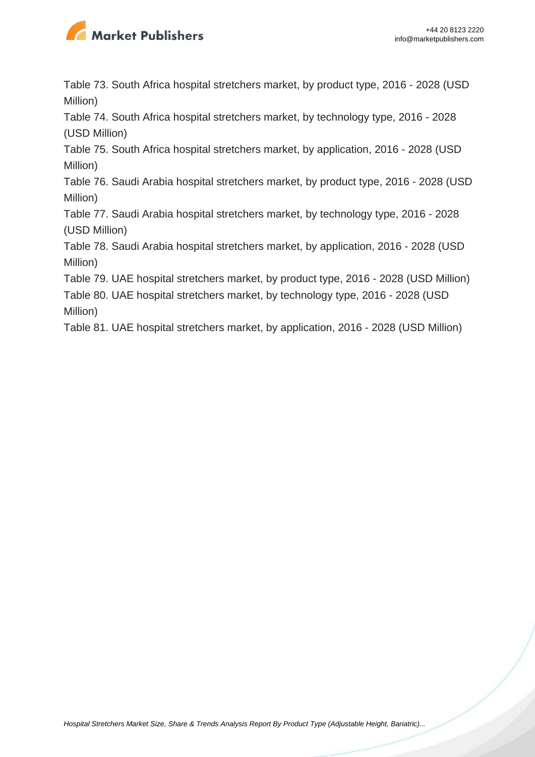

Table 73. South Africa hospital stretchers market, by product type, 2016 - 2028 (USD Million)

Table 74. South Africa hospital stretchers market, by technology type, 2016 - 2028 (USD Million)

Table 75. South Africa hospital stretchers market, by application, 2016 - 2028 (USD Million)

Table 76. Saudi Arabia hospital stretchers market, by product type, 2016 - 2028 (USD Million)

Table 77. Saudi Arabia hospital stretchers market, by technology type, 2016 - 2028 (USD Million)

Table 78. Saudi Arabia hospital stretchers market, by application, 2016 - 2028 (USD Million)

Table 79. UAE hospital stretchers market, by product type, 2016 - 2028 (USD Million)

Table 80. UAE hospital stretchers market, by technology type, 2016 - 2028 (USD Million)

Table 81. UAE hospital stretchers market, by application, 2016 - 2028 (USD Million)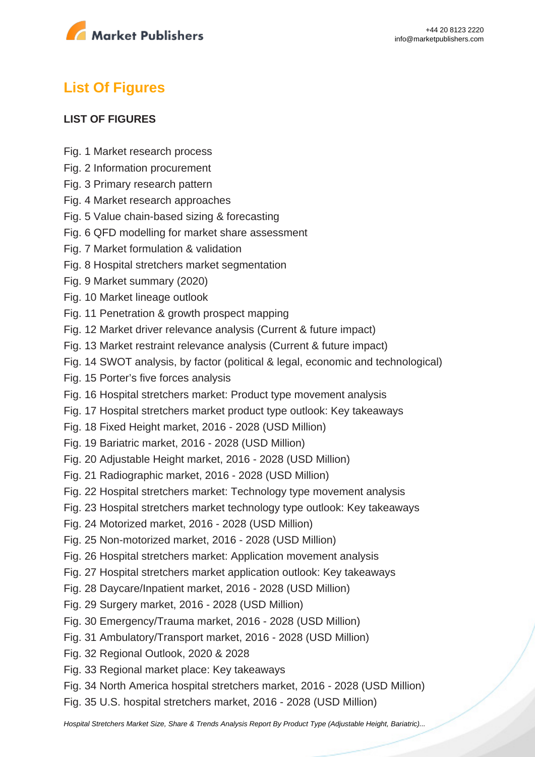

# **List Of Figures**

#### **LIST OF FIGURES**

- Fig. 1 Market research process
- Fig. 2 Information procurement
- Fig. 3 Primary research pattern
- Fig. 4 Market research approaches
- Fig. 5 Value chain-based sizing & forecasting
- Fig. 6 QFD modelling for market share assessment
- Fig. 7 Market formulation & validation
- Fig. 8 Hospital stretchers market segmentation
- Fig. 9 Market summary (2020)
- Fig. 10 Market lineage outlook
- Fig. 11 Penetration & growth prospect mapping
- Fig. 12 Market driver relevance analysis (Current & future impact)
- Fig. 13 Market restraint relevance analysis (Current & future impact)
- Fig. 14 SWOT analysis, by factor (political & legal, economic and technological)
- Fig. 15 Porter's five forces analysis
- Fig. 16 Hospital stretchers market: Product type movement analysis
- Fig. 17 Hospital stretchers market product type outlook: Key takeaways
- Fig. 18 Fixed Height market, 2016 2028 (USD Million)
- Fig. 19 Bariatric market, 2016 2028 (USD Million)
- Fig. 20 Adjustable Height market, 2016 2028 (USD Million)
- Fig. 21 Radiographic market, 2016 2028 (USD Million)
- Fig. 22 Hospital stretchers market: Technology type movement analysis
- Fig. 23 Hospital stretchers market technology type outlook: Key takeaways
- Fig. 24 Motorized market, 2016 2028 (USD Million)
- Fig. 25 Non-motorized market, 2016 2028 (USD Million)
- Fig. 26 Hospital stretchers market: Application movement analysis
- Fig. 27 Hospital stretchers market application outlook: Key takeaways
- Fig. 28 Daycare/Inpatient market, 2016 2028 (USD Million)
- Fig. 29 Surgery market, 2016 2028 (USD Million)
- Fig. 30 Emergency/Trauma market, 2016 2028 (USD Million)
- Fig. 31 Ambulatory/Transport market, 2016 2028 (USD Million)
- Fig. 32 Regional Outlook, 2020 & 2028
- Fig. 33 Regional market place: Key takeaways
- Fig. 34 North America hospital stretchers market, 2016 2028 (USD Million)
- Fig. 35 U.S. hospital stretchers market, 2016 2028 (USD Million)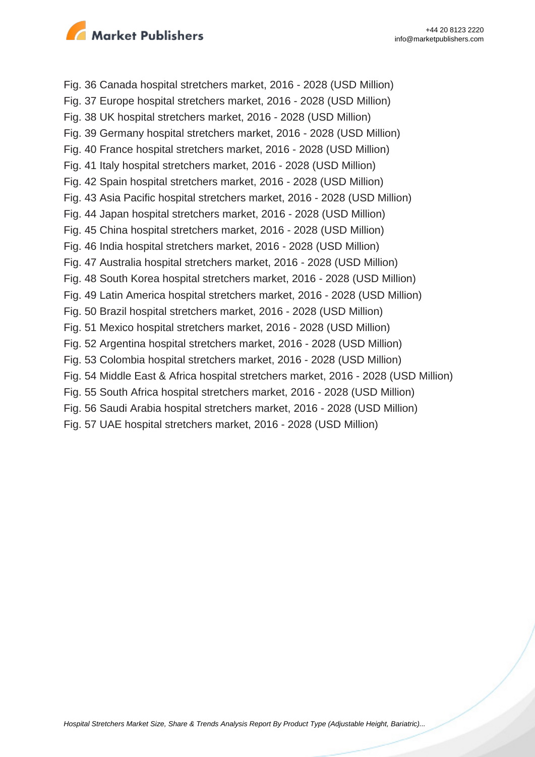

Fig. 36 Canada hospital stretchers market, 2016 - 2028 (USD Million) Fig. 37 Europe hospital stretchers market, 2016 - 2028 (USD Million) Fig. 38 UK hospital stretchers market, 2016 - 2028 (USD Million) Fig. 39 Germany hospital stretchers market, 2016 - 2028 (USD Million) Fig. 40 France hospital stretchers market, 2016 - 2028 (USD Million) Fig. 41 Italy hospital stretchers market, 2016 - 2028 (USD Million) Fig. 42 Spain hospital stretchers market, 2016 - 2028 (USD Million) Fig. 43 Asia Pacific hospital stretchers market, 2016 - 2028 (USD Million) Fig. 44 Japan hospital stretchers market, 2016 - 2028 (USD Million) Fig. 45 China hospital stretchers market, 2016 - 2028 (USD Million) Fig. 46 India hospital stretchers market, 2016 - 2028 (USD Million) Fig. 47 Australia hospital stretchers market, 2016 - 2028 (USD Million) Fig. 48 South Korea hospital stretchers market, 2016 - 2028 (USD Million) Fig. 49 Latin America hospital stretchers market, 2016 - 2028 (USD Million) Fig. 50 Brazil hospital stretchers market, 2016 - 2028 (USD Million) Fig. 51 Mexico hospital stretchers market, 2016 - 2028 (USD Million) Fig. 52 Argentina hospital stretchers market, 2016 - 2028 (USD Million) Fig. 53 Colombia hospital stretchers market, 2016 - 2028 (USD Million) Fig. 54 Middle East & Africa hospital stretchers market, 2016 - 2028 (USD Million) Fig. 55 South Africa hospital stretchers market, 2016 - 2028 (USD Million) Fig. 56 Saudi Arabia hospital stretchers market, 2016 - 2028 (USD Million) Fig. 57 UAE hospital stretchers market, 2016 - 2028 (USD Million)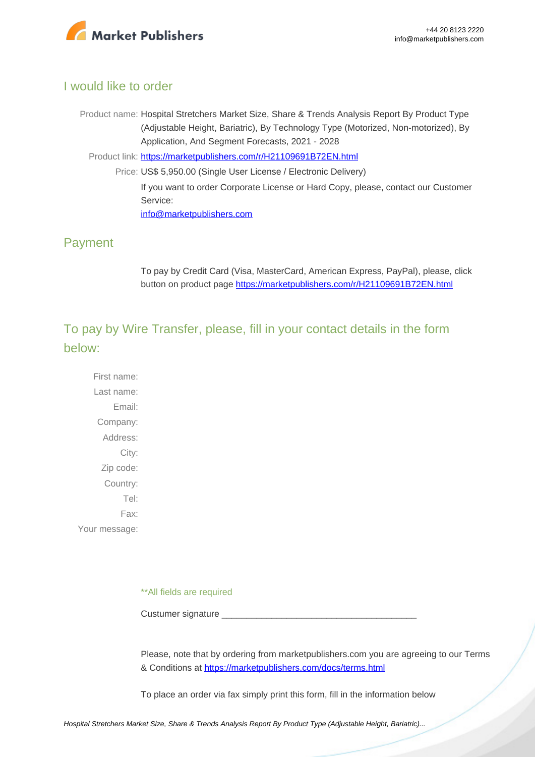

## I would like to order

Product name: Hospital Stretchers Market Size, Share & Trends Analysis Report By Product Type (Adjustable Height, Bariatric), By Technology Type (Motorized, Non-motorized), By Application, And Segment Forecasts, 2021 - 2028

Product link: [https://marketpublishers.com/r/H21109691B72EN.html](https://marketpublishers.com/report/healthcare/hospital/hospital-stretchers-market-size-share-trends-analysis-report-by-product-type-by-technology-type-by-application-n-segment-forecasts-2021-2028.html)

Price: US\$ 5,950.00 (Single User License / Electronic Delivery) If you want to order Corporate License or Hard Copy, please, contact our Customer Service: [info@marketpublishers.com](mailto:info@marketpublishers.com)

### Payment

To pay by Credit Card (Visa, MasterCard, American Express, PayPal), please, click button on product page [https://marketpublishers.com/r/H21109691B72EN.html](https://marketpublishers.com/report/healthcare/hospital/hospital-stretchers-market-size-share-trends-analysis-report-by-product-type-by-technology-type-by-application-n-segment-forecasts-2021-2028.html)

To pay by Wire Transfer, please, fill in your contact details in the form below:

First name: Last name: Email: Company: Address: City: Zip code: Country: Tel: Fax: Your message:

\*\*All fields are required

Custumer signature \_

Please, note that by ordering from marketpublishers.com you are agreeing to our Terms & Conditions at<https://marketpublishers.com/docs/terms.html>

To place an order via fax simply print this form, fill in the information below